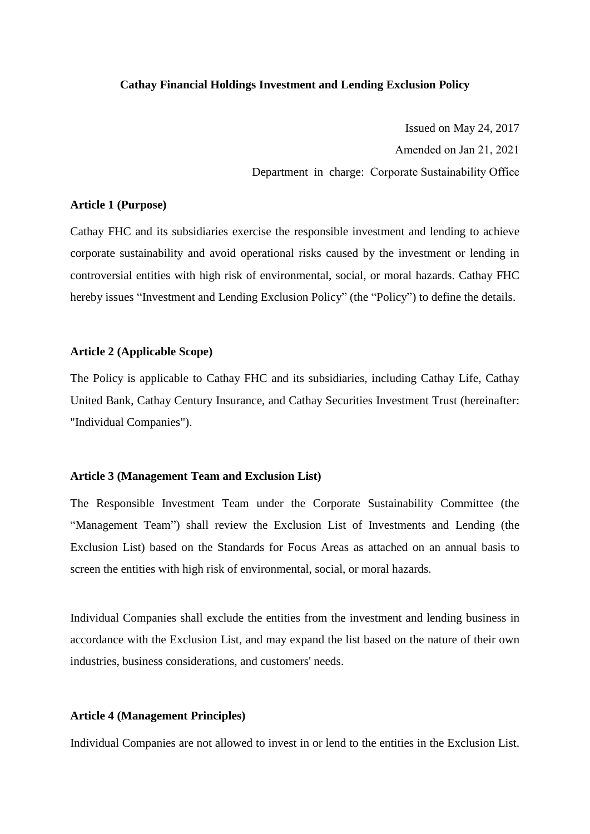### **Cathay Financial Holdings Investment and Lending Exclusion Policy**

Issued on May 24, 2017 Amended on Jan 21, 2021 Department in charge: Corporate Sustainability Office

### **Article 1 (Purpose)**

Cathay FHC and its subsidiaries exercise the responsible investment and lending to achieve corporate sustainability and avoid operational risks caused by the investment or lending in controversial entities with high risk of environmental, social, or moral hazards. Cathay FHC hereby issues "Investment and Lending Exclusion Policy" (the "Policy") to define the details.

# **Article 2 (Applicable Scope)**

The Policy is applicable to Cathay FHC and its subsidiaries, including Cathay Life, Cathay United Bank, Cathay Century Insurance, and Cathay Securities Investment Trust (hereinafter: "Individual Companies").

### **Article 3 (Management Team and Exclusion List)**

The Responsible Investment Team under the Corporate Sustainability Committee (the "Management Team") shall review the Exclusion List of Investments and Lending (the Exclusion List) based on the Standards for Focus Areas as attached on an annual basis to screen the entities with high risk of environmental, social, or moral hazards.

Individual Companies shall exclude the entities from the investment and lending business in accordance with the Exclusion List, and may expand the list based on the nature of their own industries, business considerations, and customers' needs.

# **Article 4 (Management Principles)**

Individual Companies are not allowed to invest in or lend to the entities in the Exclusion List.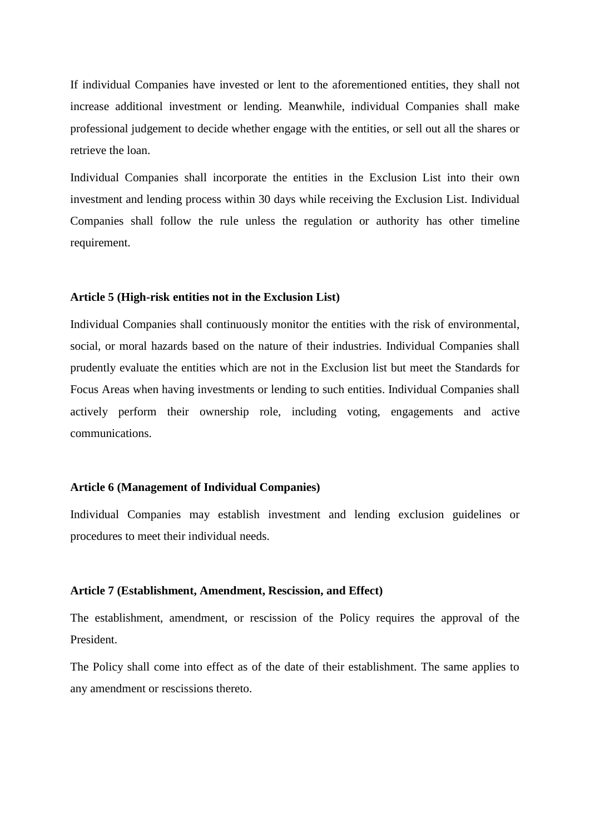If individual Companies have invested or lent to the aforementioned entities, they shall not increase additional investment or lending. Meanwhile, individual Companies shall make professional judgement to decide whether engage with the entities, or sell out all the shares or retrieve the loan.

Individual Companies shall incorporate the entities in the Exclusion List into their own investment and lending process within 30 days while receiving the Exclusion List. Individual Companies shall follow the rule unless the regulation or authority has other timeline requirement.

#### **Article 5 (High-risk entities not in the Exclusion List)**

Individual Companies shall continuously monitor the entities with the risk of environmental, social, or moral hazards based on the nature of their industries. Individual Companies shall prudently evaluate the entities which are not in the Exclusion list but meet the Standards for Focus Areas when having investments or lending to such entities. Individual Companies shall actively perform their ownership role, including voting, engagements and active communications.

# **Article 6 (Management of Individual Companies)**

Individual Companies may establish investment and lending exclusion guidelines or procedures to meet their individual needs.

#### **Article 7 (Establishment, Amendment, Rescission, and Effect)**

The establishment, amendment, or rescission of the Policy requires the approval of the President.

The Policy shall come into effect as of the date of their establishment. The same applies to any amendment or rescissions thereto.